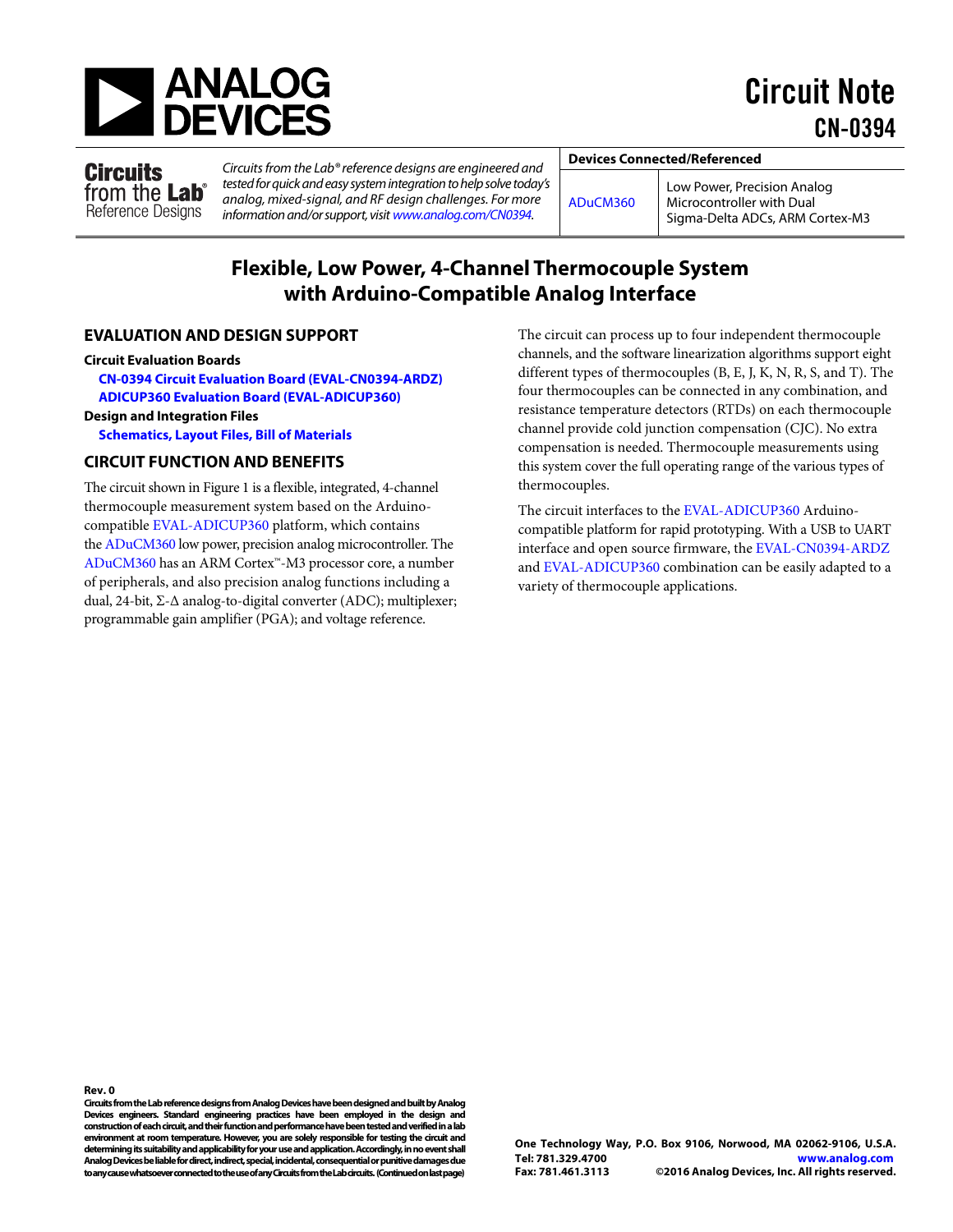

Circuit Note CN-0394

**Circuits** from the Lab<sup>®</sup> Reference Designs

Circuits from the Lab® reference designs are engineered and tested for quick and easy system integration to help solve today's analog, mixed-signal, and RF design challenges. For more information and/or support, visit [www.analog.com/CN0394.](http://www.analog.com/CN0394?doc=CN0394.pdf)

**Devices Connected/Referenced** 

[ADuCM360](http://www.analog.com/ADUCM360?doc=CN0394.pdf) 

Low Power, Precision Analog Microcontroller with Dual Sigma-Delta ADCs, ARM Cortex-M3

## **Flexible, Low Power, 4-Channel Thermocouple System with Arduino-Compatible Analog Interface**

## **EVALUATION AND DESIGN SUPPORT**

#### **Circuit Evaluation Boards**

**[CN-0394 Circuit Evaluation Board \(EVAL-CN0394-ARDZ\)](http://www.analog.com/EVAL-CN0394-ARDZ?doc=CN0394.pdf) [ADICUP360 Evaluation Board \(EVAL-ADICUP360\)](http://www.analog.com/EVAL-ADICUP360?doc=CN0394.pdf)**

### **Design and Integration Files**

**[Schematics, Layout Files, Bill of Materials](http://www.analog.com/CN0394-DesignSupport?doc=CN0394.pdf)**

## **CIRCUIT FUNCTION AND BENEFITS**

The circuit shown i[n Figure 1](#page-1-0) is a flexible, integrated, 4-channel thermocouple measurement system based on the Arduinocompatible [EVAL-ADICUP360](http://www.analog.com/EVAL-ADICUP360?doc=CN0394.pdf) platform, which contains th[e ADuCM360 l](http://www.analog.com/ADuCM360?doc=CN0394.pdf)ow power, precision analog microcontroller. The [ADuCM360 h](http://www.analog.com/ADuCM360?doc=CN0394.pdf)as an ARM Cortex™-M3 processor core, a number of peripherals, and also precision analog functions including a dual, 24-bit, Σ-Δ analog-to-digital converter (ADC); multiplexer; programmable gain amplifier (PGA); and voltage reference.

The circuit can process up to four independent thermocouple channels, and the software linearization algorithms support eight different types of thermocouples (B, E, J, K, N, R, S, and T). The four thermocouples can be connected in any combination, and resistance temperature detectors (RTDs) on each thermocouple channel provide cold junction compensation (CJC). No extra compensation is needed. Thermocouple measurements using this system cover the full operating range of the various types of thermocouples.

The circuit interfaces to th[e EVAL-ADICUP360](http://www.analog.com/EVAL-ADICUP360?doc=CN0394.pdf) Arduinocompatible platform for rapid prototyping. With a USB to UART interface and open source firmware, the [EVAL-CN0394-ARDZ](http://www.analog.com/EVAL-CN0394-ARDZ) an[d EVAL-ADICUP360](http://www.analog.com/EVAL-ADICUP360) combination can be easily adapted to a variety of thermocouple applications.

**Rev. 0** 

**Circuits from the Lab reference designs from Analog Devices have been designed and built by Analog Devices engineers. Standard engineering practices have been employed in the design and construction of each circuit, and their function and performance have been tested and verified in a lab environment at room temperature. However, you are solely responsible for testing the circuit and determining its suitability and applicability for your use and application. Accordingly, in no event shall Analog Devices be liable for direct, indirect, special, incidental, consequential or punitive damages due to any cause whatsoever connected to the use of any Circuits from the Lab circuits. (Continued on last page)**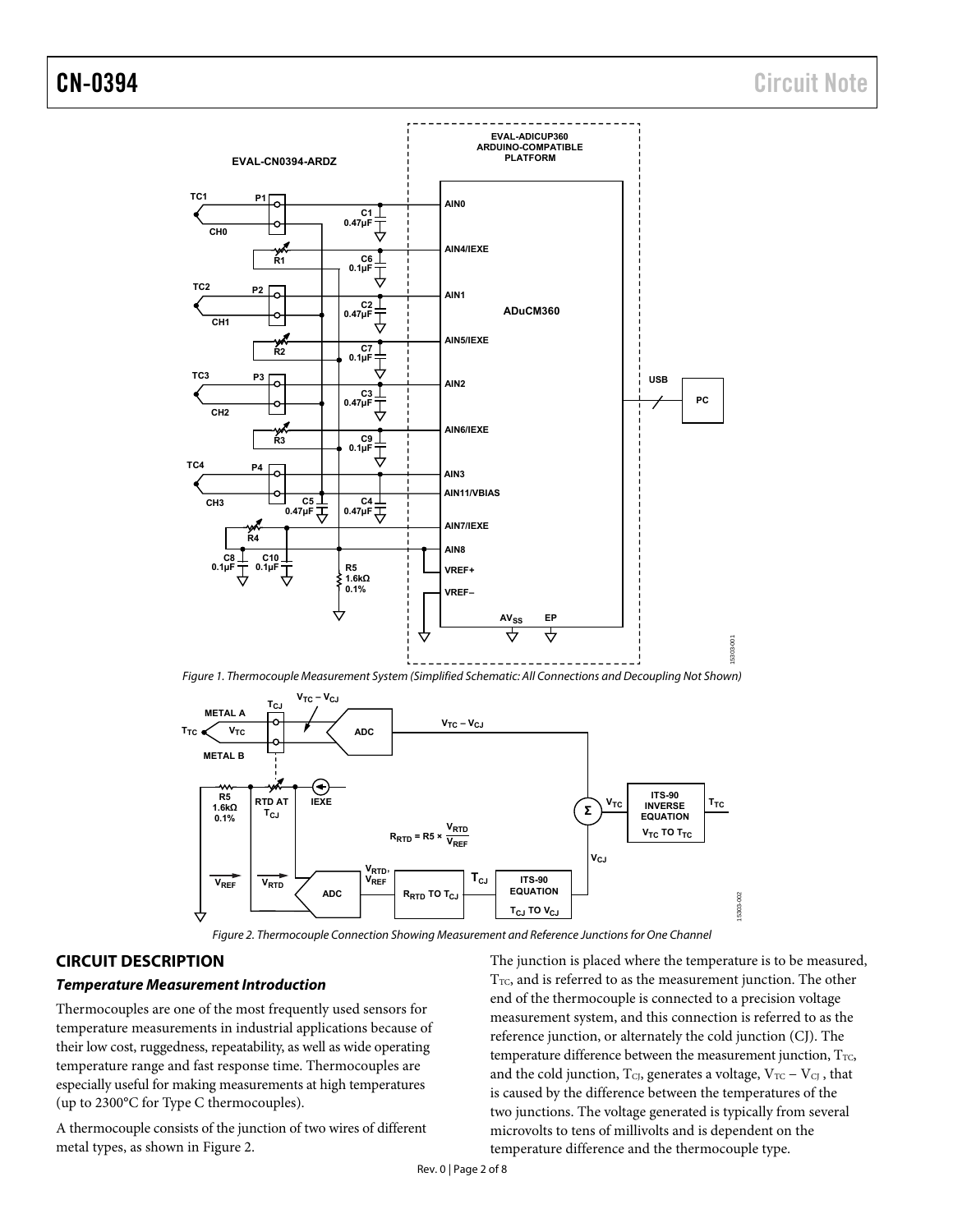

<span id="page-1-0"></span>Figure 1. Thermocouple Measurement System (Simplified Schematic: All Connections and Decoupling Not Shown)



Figure 2. Thermocouple Connection Showing Measurement and Reference Junctions for One Channel

## <span id="page-1-1"></span>**CIRCUIT DESCRIPTION**

#### **Temperature Measurement Introduction**

Thermocouples are one of the most frequently used sensors for temperature measurements in industrial applications because of their low cost, ruggedness, repeatability, as well as wide operating temperature range and fast response time. Thermocouples are especially useful for making measurements at high temperatures (up to 2300°C for Type C thermocouples).

A thermocouple consists of the junction of two wires of different metal types, as shown i[n Figure 2.](#page-1-1) 

The junction is placed where the temperature is to be measured,  $T_{TC}$ , and is referred to as the measurement junction. The other end of the thermocouple is connected to a precision voltage measurement system, and this connection is referred to as the reference junction, or alternately the cold junction (CJ). The temperature difference between the measurement junction,  $T_{TC}$ , and the cold junction,  $T_{CJ}$ , generates a voltage,  $V_{TC} - V_{CJ}$ , that is caused by the difference between the temperatures of the two junctions. The voltage generated is typically from several microvolts to tens of millivolts and is dependent on the temperature difference and the thermocouple type.

Rev. 0 | Page 2 of 8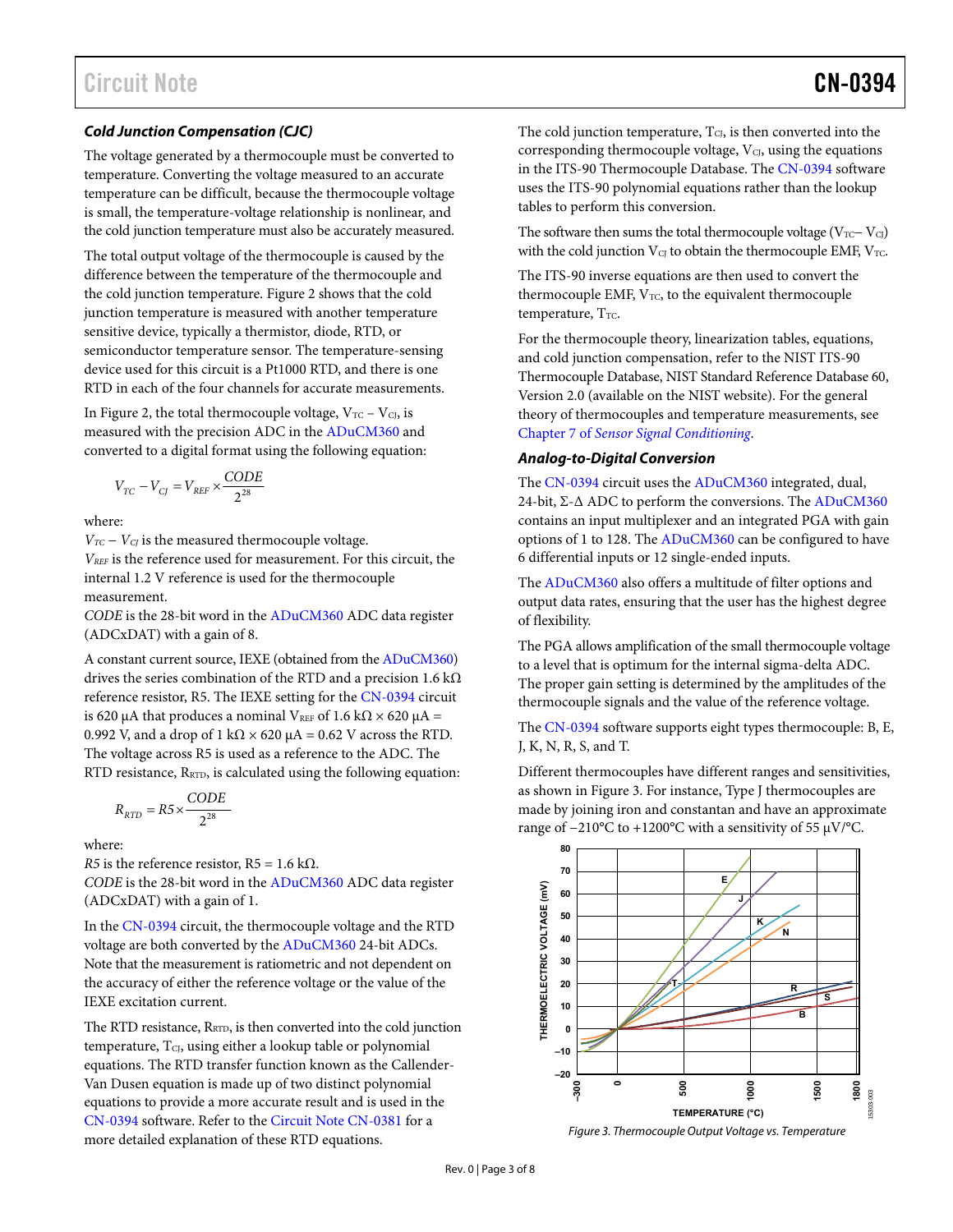## **Cold Junction Compensation (CJC)**

The voltage generated by a thermocouple must be converted to temperature. Converting the voltage measured to an accurate temperature can be difficult, because the thermocouple voltage is small, the temperature-voltage relationship is nonlinear, and the cold junction temperature must also be accurately measured.

The total output voltage of the thermocouple is caused by the difference between the temperature of the thermocouple and the cold junction temperature[. Figure 2 s](#page-1-1)hows that the cold junction temperature is measured with another temperature sensitive device, typically a thermistor, diode, RTD, or semiconductor temperature sensor. The temperature-sensing device used for this circuit is a Pt1000 RTD, and there is one RTD in each of the four channels for accurate measurements.

I[n Figure 2,](#page-1-1) the total thermocouple voltage,  $V_{TC} - V_{CI}$ , is measured with the precision ADC in th[e ADuCM360 a](http://www.analog.com/ADUCM360?doc=CN0394.pdf)nd converted to a digital format using the following equation:

$$
V_{TC} - V_{CJ} = V_{REF} \times \frac{CODE}{2^{28}}
$$

where:

*V<sub>TC</sub>* − *V<sub>CJ</sub>* is the measured thermocouple voltage. *VREF* is the reference used for measurement. For this circuit, the internal 1.2 V reference is used for the thermocouple measurement.

*CODE* is the 28-bit word in the [ADuCM360 A](http://www.analog.com/ADUCM360?doc=CN0394.pdf)DC data register (ADCxDAT) with a gain of 8.

A constant current source, IEXE (obtained from the [ADuCM360\)](http://www.analog.com/ADUCM360?doc=CN0394.pdf) drives the series combination of the RTD and a precision 1.6 k $\Omega$ reference resistor, R5. The IEXE setting for the [CN-0394 c](http://www.analog.com/CN0394?doc=CN0394.pdf)ircuit is 620 μA that produces a nominal V<sub>REF</sub> of 1.6 kΩ  $\times$  620 μA = 0.992 V, and a drop of 1 k $\Omega \times 620 \mu A = 0.62$  V across the RTD. The voltage across R5 is used as a reference to the ADC. The RTD resistance, R<sub>RTD</sub>, is calculated using the following equation:

$$
R_{RTD}=R5\times \frac{CODE}{2^{28}}
$$

where:

*R5* is the reference resistor,  $R5 = 1.6$  k $\Omega$ .

*CODE* is the 28-bit word in th[e ADuCM360 A](http://www.analog.com/ADUCM360?doc=CN0394.pdf)DC data register (ADCxDAT) with a gain of 1.

In th[e CN-0394 c](http://www.analog.com/CN0394?doc=CN0394.pdf)ircuit, the thermocouple voltage and the RTD voltage are both converted by th[e ADuCM360 2](http://www.analog.com/ADuCM360?doc=CN0394.pdf)4-bit ADCs. Note that the measurement is ratiometric and not dependent on the accuracy of either the reference voltage or the value of the IEXE excitation current.

The RTD resistance, R<sub>RTD</sub>, is then converted into the cold junction temperature, TcJ, using either a lookup table or polynomial equations. The RTD transfer function known as the Callender-Van Dusen equation is made up of two distinct polynomial equations to provide a more accurate result and is used in the [CN-0394](http://www.analog.com/CN0394?doc=CN0394.pdf) software. Refer to the [Circuit Note CN-0381 f](http://www.analog.com/CN0381?doc=CN0394.pdf)or a more detailed explanation of these RTD equations.

The cold junction temperature,  $T_{\text{CI}}$ , is then converted into the corresponding thermocouple voltage,  $V<sub>CI</sub>$ , using the equations in the ITS-90 Thermocouple Database. The [CN-0394](http://www.analog.com/CN0394?doc=CN0394.pdf) software uses the ITS-90 polynomial equations rather than the lookup tables to perform this conversion.

The software then sums the total thermocouple voltage ( $V_{TC}-V_{CJ}$ ) with the cold junction  $V_{CI}$  to obtain the thermocouple EMF,  $V_{TC}$ .

The ITS-90 inverse equations are then used to convert the thermocouple EMF,  $V_{TC}$ , to the equivalent thermocouple temperature,  $T_{TC}$ .

For the thermocouple theory, linearization tables, equations, and cold junction compensation, refer to the NIST ITS-90 Thermocouple Database, NIST Standard Reference Database 60, Version 2.0 (available on the NIST website). For the general theory of thermocouples and temperature measurements, see Chapter 7 of *[Sensor Signal Conditioning](http://www.analog.com/temperature_sensors?doc=CN0394.pdf)*.

#### **Analog-to-Digital Conversion**

The [CN-0394](http://www.analog.com/CN0394?doc=CN0394.pdf) circuit uses th[e ADuCM360 i](http://www.analog.com/ADUCM360?doc=CN0394.pdf)ntegrated, dual, 24-bit, Σ-Δ ADC to perform the conversions. Th[e ADuCM360](http://www.analog.com/ADUCM360?doc=CN0394.pdf) contains an input multiplexer and an integrated PGA with gain options of 1 to 128. The [ADuCM360](http://www.analog.com/ADUCM360?doc=CN0394.pdf) can be configured to have 6 differential inputs or 12 single-ended inputs.

The [ADuCM360](http://www.analog.com/ADUCM360?doc=CN0394.pdf) also offers a multitude of filter options and output data rates, ensuring that the user has the highest degree of flexibility.

The PGA allows amplification of the small thermocouple voltage to a level that is optimum for the internal sigma-delta ADC. The proper gain setting is determined by the amplitudes of the thermocouple signals and the value of the reference voltage.

The [CN-0394](http://www.analog.com/CN0394?doc=CN0394.pdf) software supports eight types thermocouple: B, E, J, K, N, R, S, and T.

Different thermocouples have different ranges and sensitivities, as shown i[n Figure 3.](#page-2-0) For instance, Type J thermocouples are made by joining iron and constantan and have an approximate range of −210°C to +1200°C with a sensitivity of 55 μV/°C.



<span id="page-2-0"></span>Figure 3. Thermocouple Output Voltage vs. Temperature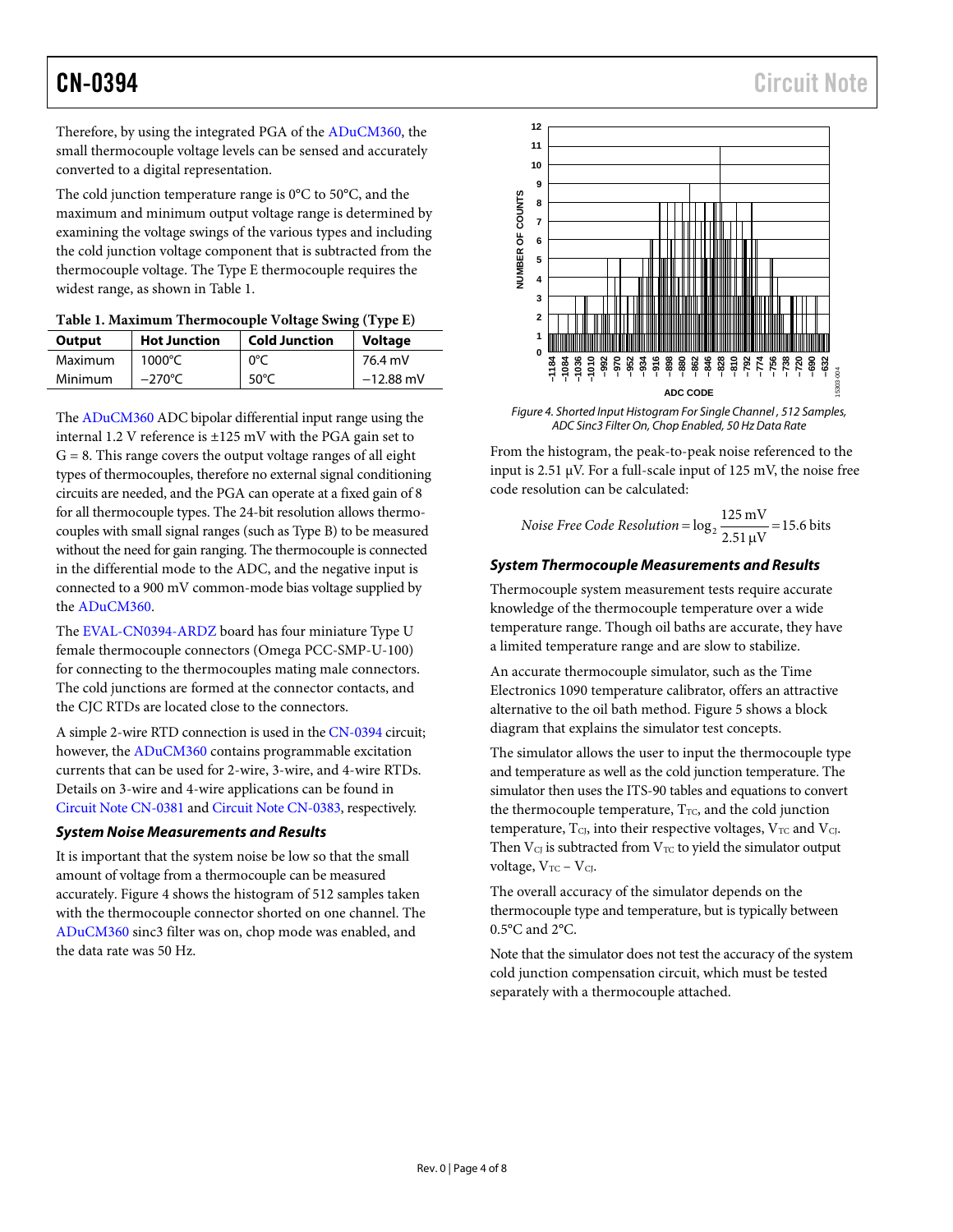CN-0394 Circuit Note

Therefore, by using the integrated PGA of the [ADuCM360,](http://www.analog.com/ADUCM360?doc=CN0394.pdf) the small thermocouple voltage levels can be sensed and accurately converted to a digital representation.

The cold junction temperature range is 0°C to 50°C, and the maximum and minimum output voltage range is determined by examining the voltage swings of the various types and including the cold junction voltage component that is subtracted from the thermocouple voltage. The Type E thermocouple requires the widest range, as shown in [Table 1.](#page-3-0)

<span id="page-3-0"></span>

| Table 1. Maximum Thermocouple Voltage Swing (Type E) |  |
|------------------------------------------------------|--|
|------------------------------------------------------|--|

| Output  | <b>Hot Junction</b> | <b>Cold Junction</b> | <b>Voltage</b> |
|---------|---------------------|----------------------|----------------|
| Maximum | $1000^{\circ}$ C    | 0°C                  | 76.4 mV        |
| Minimum | $-270^{\circ}$ C    | 50 $\degree$ C       | $-12.88$ mV    |

Th[e ADuCM360](http://www.analog.com/ADUCM360?doc=CN0394.pdf) ADC bipolar differential input range using the internal 1.2 V reference is ±125 mV with the PGA gain set to  $G = 8$ . This range covers the output voltage ranges of all eight types of thermocouples, therefore no external signal conditioning circuits are needed, and the PGA can operate at a fixed gain of 8 for all thermocouple types. The 24-bit resolution allows thermocouples with small signal ranges (such as Type B) to be measured without the need for gain ranging. The thermocouple is connected in the differential mode to the ADC, and the negative input is connected to a 900 mV common-mode bias voltage supplied by the [ADuCM360.](http://www.analog.com/ADUCM360?doc=CN0394.pdf)

The [EVAL-CN0394-ARDZ](http://www.analog.com/EVAL-CN0394-ARDZ?doc=CN0394.pdf) board has four miniature Type U female thermocouple connectors (Omega PCC-SMP-U-100) for connecting to the thermocouples mating male connectors. The cold junctions are formed at the connector contacts, and the CJC RTDs are located close to the connectors.

A simple 2-wire RTD connection is used in th[e CN-0394](http://www.analog.com/CN0394?doc=CN0394.pdf) circuit; however, the [ADuCM360](http://www.analog.com/ADUCM360?doc=CN0394.pdf) contains programmable excitation currents that can be used for 2-wire, 3-wire, and 4-wire RTDs. Details on 3-wire and 4-wire applications can be found in [Circuit Note CN-0381](http://www.analog.com/CN0381?doc=CN0394.pdf) an[d Circuit Note CN-0383,](http://www.analog.com/CN0383?doc=CN0394.pdf) respectively.

## *System Noise Measurements and Results*

It is important that the system noise be low so that the small amount of voltage from a thermocouple can be measured accurately. [Figure 4](#page-3-1) shows the histogram of 512 samples taken with the thermocouple connector shorted on one channel. The [ADuCM360](http://www.analog.com/ADUCM360?doc=CN0394.pdf) sinc3 filter was on, chop mode was enabled, and the data rate was 50 Hz.



<span id="page-3-1"></span>*Figure 4. Shorted Input Histogram For Single Channel , 512 Samples, ADC Sinc3 Filter On, Chop Enabled, 50 Hz Data Rate*

From the histogram, the peak-to-peak noise referenced to the input is 2.51  $\mu$ V. For a full-scale input of 125 mV, the noise free code resolution can be calculated:

$$
Noise Free Code Resolution = \log_2 \frac{125 \text{ mV}}{2.51 \text{ }\mu\text{V}} = 15.6 \text{ bits}
$$

## *System Thermocouple Measurements and Results*

Thermocouple system measurement tests require accurate knowledge of the thermocouple temperature over a wide temperature range. Though oil baths are accurate, they have a limited temperature range and are slow to stabilize.

An accurate thermocouple simulator, such as the Time Electronics 1090 temperature calibrator, offers an attractive alternative to the oil bath method. [Figure 5](#page-4-0) shows a block diagram that explains the simulator test concepts.

The simulator allows the user to input the thermocouple type and temperature as well as the cold junction temperature. The simulator then uses the ITS-90 tables and equations to convert the thermocouple temperature,  $T_{TC}$ , and the cold junction temperature,  $T_{CI}$ , into their respective voltages,  $V_{TC}$  and  $V_{CI}$ . Then  $V<sub>CI</sub>$  is subtracted from  $V<sub>TC</sub>$  to yield the simulator output voltage,  $V_{TC} - V_{CI}$ .

The overall accuracy of the simulator depends on the thermocouple type and temperature, but is typically between 0.5°C and 2°C.

Note that the simulator does not test the accuracy of the system cold junction compensation circuit, which must be tested separately with a thermocouple attached.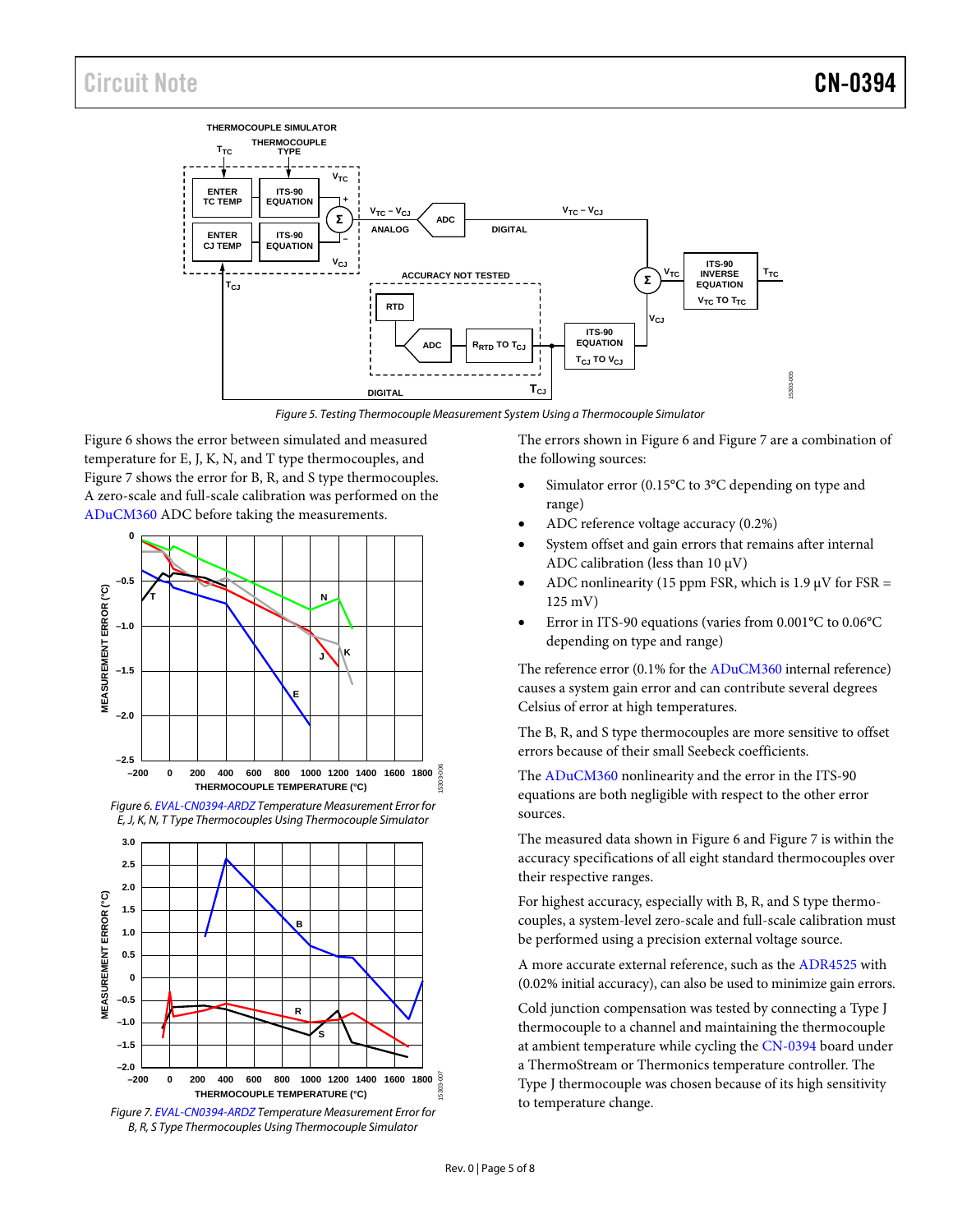

*Figure 5. Testing Thermocouple Measurement System Using a Thermocouple Simulator*

<span id="page-4-0"></span>[Figure 6](#page-4-1) shows the error between simulated and measured temperature for E, J, K, N, and T type thermocouples, and [Figure 7](#page-4-2) shows the error for B, R, and S type thermocouples. A zero-scale and full-scale calibration was performed on the [ADuCM360](http://www.analog.com/ADUCM360?doc=CN0394.pdf) ADC before taking the measurements.



<span id="page-4-1"></span>



<span id="page-4-2"></span>*Figure 7[. EVAL-CN0394-ARDZ](http://www.analog.com/EVAL-CN0394-ARDZ?doc=CN0394.pdf) Temperature Measurement Error for B, R, S Type Thermocouples Using Thermocouple Simulator*

The errors shown in [Figure 6](#page-4-1) an[d Figure 7](#page-4-2) are a combination of the following sources:

- Simulator error (0.15°C to 3°C depending on type and range)
- ADC reference voltage accuracy (0.2%)
- System offset and gain errors that remains after internal ADC calibration (less than  $10 \mu V$ )
- ADC nonlinearity (15 ppm FSR, which is  $1.9 \mu V$  for FSR = 125 mV)
- Error in ITS-90 equations (varies from 0.001°C to 0.06°C depending on type and range)

The reference error (0.1% for th[e ADuCM360](http://www.analog.com/ADUCM360?doc=CN0394.pdf) internal reference) causes a system gain error and can contribute several degrees Celsius of error at high temperatures.

The B, R, and S type thermocouples are more sensitive to offset errors because of their small Seebeck coefficients.

The [ADuCM360](http://www.analog.com/ADUCM360?doc=CN0394.pdf) nonlinearity and the error in the ITS-90 equations are both negligible with respect to the other error sources.

The measured data shown i[n Figure 6](#page-4-1) an[d Figure 7](#page-4-2) is within the accuracy specifications of all eight standard thermocouples over their respective ranges.

For highest accuracy, especially with B, R, and S type thermocouples, a system-level zero-scale and full-scale calibration must be performed using a precision external voltage source.

A more accurate external reference, such as th[e ADR4525](http://www.analog.com/ADR4525?doc=CN0394.pdf) with (0.02% initial accuracy), can also be used to minimize gain errors.

Cold junction compensation was tested by connecting a Type J thermocouple to a channel and maintaining the thermocouple at ambient temperature while cycling the [CN-0394](http://www.analog.com/CN0394?doc=CN0394.pdf) board under a ThermoStream or Thermonics temperature controller. The Type J thermocouple was chosen because of its high sensitivity to temperature change.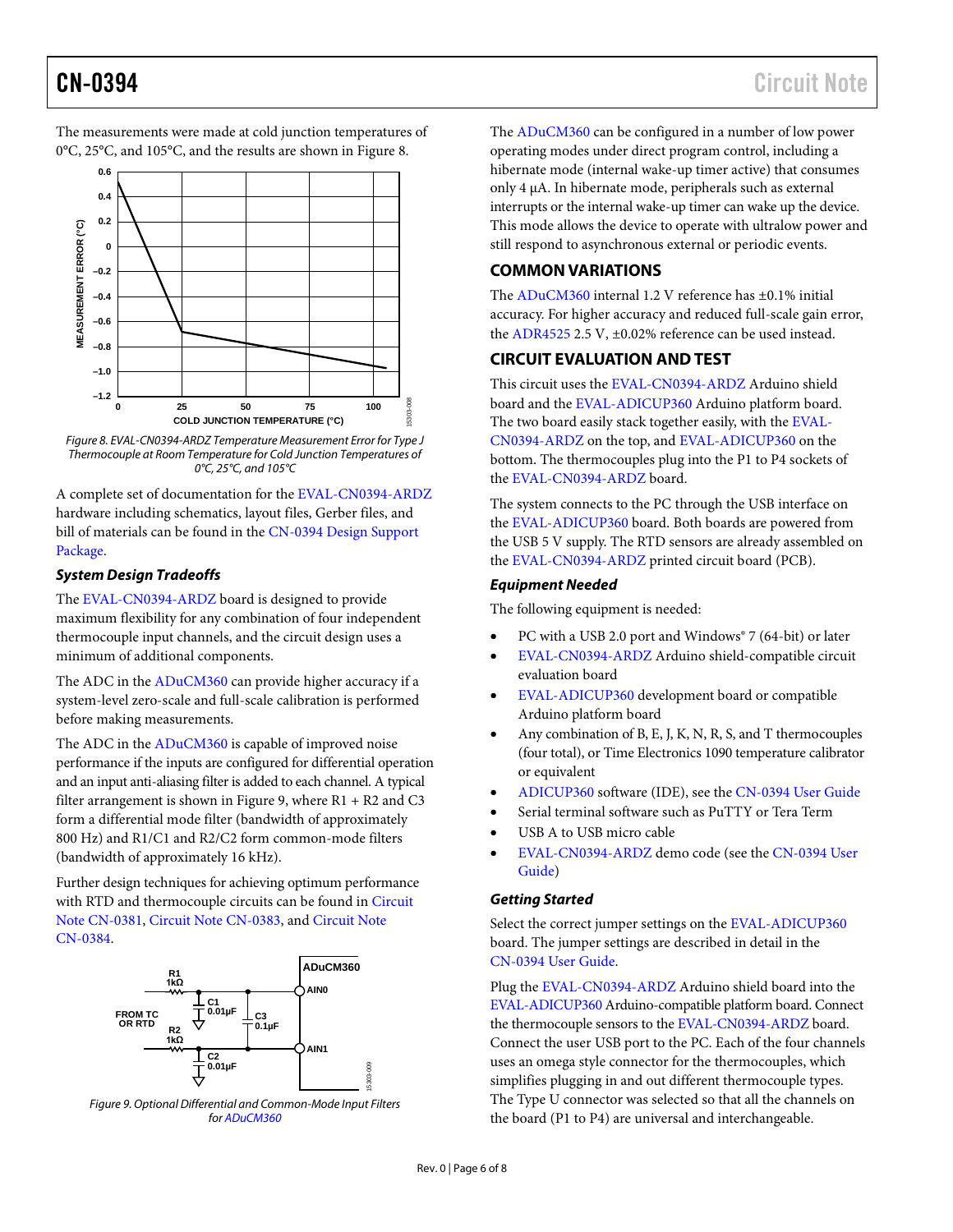The measurements were made at cold junction temperatures of 0°C, 25°C, and 105°C, and the results are shown i[n Figure 8.](#page-5-0) 



<span id="page-5-0"></span>*Figure 8. EVAL-CN0394-ARDZ Temperature Measurement Error for Type J Thermocouple at Room Temperature for Cold Junction Temperatures of 0°C, 25°C, and 105°C*

A complete set of documentation for th[e EVAL-CN0394-ARDZ](http://www.analog.com/EVAL-CN0394-ARDZ?doc=CN0394.pdf) hardware including schematics, layout files, Gerber files, and bill of materials can be found in th[e CN-0394 Design Support](http://www.analog.com/CN0394-DesignSupport?doc=CN0394.pdf)  [Package.](http://www.analog.com/CN0394-DesignSupport?doc=CN0394.pdf)

## *System Design Tradeoffs*

The [EVAL-CN0394-ARDZ](http://www.analog.com/EVAL-CN0394-ARDZ?doc=CN0394.pdf) board is designed to provide maximum flexibility for any combination of four independent thermocouple input channels, and the circuit design uses a minimum of additional components.

The ADC in the [ADuCM360](http://www.analog.com/ADUCM360?doc=CN0394.pdf) can provide higher accuracy if a system-level zero-scale and full-scale calibration is performed before making measurements.

The ADC in the [ADuCM360](http://www.analog.com/ADUCM360?doc=CN0394.pdf) is capable of improved noise performance if the inputs are configured for differential operation and an input anti-aliasing filter is added to each channel. A typical filter arrangement is shown in [Figure 9,](#page-5-1) where  $R1 + R2$  and  $C3$ form a differential mode filter (bandwidth of approximately 800 Hz) and R1/C1 and R2/C2 form common-mode filters (bandwidth of approximately 16 kHz).

Further design techniques for achieving optimum performance with RTD and thermocouple circuits can be found in [Circuit](http://www.analog.com/CN0381?doc=CN0394.pdf)  [Note CN-0381,](http://www.analog.com/CN0381?doc=CN0394.pdf) [Circuit Note CN-0383,](http://www.analog.com/CN0383?doc=CN0394.pdf) and [Circuit Note](http://www.analog.com/CN0384?doc=CN0394.pdf)  [CN-0384.](http://www.analog.com/CN0384?doc=CN0394.pdf)



<span id="page-5-1"></span>

The [ADuCM360](http://www.analog.com/ADUCM360?doc=CN0394.pdf) can be configured in a number of low power operating modes under direct program control, including a hibernate mode (internal wake-up timer active) that consumes only 4 µA. In hibernate mode, peripherals such as external interrupts or the internal wake-up timer can wake up the device. This mode allows the device to operate with ultralow power and still respond to asynchronous external or periodic events.

## **COMMON VARIATIONS**

The [ADuCM360](http://www.analog.com/ADUCM360?doc=CN0394.pdf) internal 1.2 V reference has ±0.1% initial accuracy. For higher accuracy and reduced full-scale gain error, the [ADR4525](http://www.analog.com/ADR4525?doc=CN0394.pdf) 2.5 V, ±0.02% reference can be used instead.

## **CIRCUIT EVALUATION AND TEST**

This circuit uses the [EVAL-CN0394-ARDZ](http://www.analog.com/EVAL-CN0394-ARDZ?doc=CN0394.pdf) Arduino shield board and the [EVAL-ADICUP360](http://www.analog.com/EVAL-ADICUP360?doc=CN0394.pdf) Arduino platform board. The two board easily stack together easily, with the [EVAL-](http://www.analog.com/EVAL-CN0394-ARDZ?doc=CN0394.pdf)[CN0394-ARDZ](http://www.analog.com/EVAL-CN0394-ARDZ?doc=CN0394.pdf) on the top, an[d EVAL-ADICUP360](http://www.analog.com/EVAL-ADICUP360?doc=CN0394.pdf) on the bottom. The thermocouples plug into the P1 to P4 sockets of the [EVAL-CN0394-ARDZ](http://www.analog.com/EVAL-CN0394-ARDZ?doc=CN0394.pdf) board.

The system connects to the PC through the USB interface on the [EVAL-ADICUP360](http://www.analog.com/EVAL-ADICUP360?doc=CN0394.pdf) board. Both boards are powered from the USB 5 V supply. The RTD sensors are already assembled on the [EVAL-CN0394-ARDZ](http://www.analog.com/EVAL-CN0394-ARDZ?doc=CN0394.pdf) printed circuit board (PCB).

## *Equipment Needed*

The following equipment is needed:

- PC with a USB 2.0 port and Windows® 7 (64-bit) or later
- [EVAL-CN0394-ARDZ](http://www.analog.com/EVAL-CN0394-ARDZ?doc=CN0394.pdf) Arduino shield-compatible circuit evaluation board
- [EVAL-ADICUP360](http://www.analog.com/EVAL-ADICUP360?doc=CN0394.pdf) development board or compatible Arduino platform board
- Any combination of B, E, J, K, N, R, S, and T thermocouples (four total), or Time Electronics 1090 temperature calibrator or equivalent
- [ADICUP360](http://www.analog.com/EVAL-ADICUP360?doc=CN0394.pdf) software (IDE), see the [CN-0394 User Guide](http://www.analog.com/CN0394-UserGuide?doc=CN0394.pdf)
- Serial terminal software such as PuTTY or Tera Term
- USB A to USB micro cable
- [EVAL-CN0394-ARDZ](http://www.analog.com/EVAL-CN0394-ARDZ?doc=CN0394.pdf) demo code (see th[e CN-0394 User](http://www.analog.com/CN0394-UserGuide?doc=CN0394.pdf)  [Guide\)](http://www.analog.com/CN0394-UserGuide?doc=CN0394.pdf)

## *Getting Started*

Select the correct jumper settings on th[e EVAL-ADICUP360](http://www.analog.com/EVAL-ADICUP360?doc=CN0394.pdf) board. The jumper settings are described in detail in the [CN-0394 User Guide.](http://www.analog.com/CN0394-UserGuide?doc=CN0394.pdf)

Plug th[e EVAL-CN0394-ARDZ](http://www.analog.com/EVAL-CN0394-ARDZ?doc=CN0394.pdf) Arduino shield board into the [EVAL-ADICUP360](http://www.analog.com/EVAL-ADICUP360?doc=CN0394.pdf) Arduino-compatible platform board. Connect the thermocouple sensors to th[e EVAL-CN0394-ARDZ](http://www.analog.com/EVAL-CN0394-ARDZ?doc=CN0394.pdf) board. Connect the user USB port to the PC. Each of the four channels uses an omega style connector for the thermocouples, which simplifies plugging in and out different thermocouple types. The Type U connector was selected so that all the channels on the board (P1 to P4) are universal and interchangeable.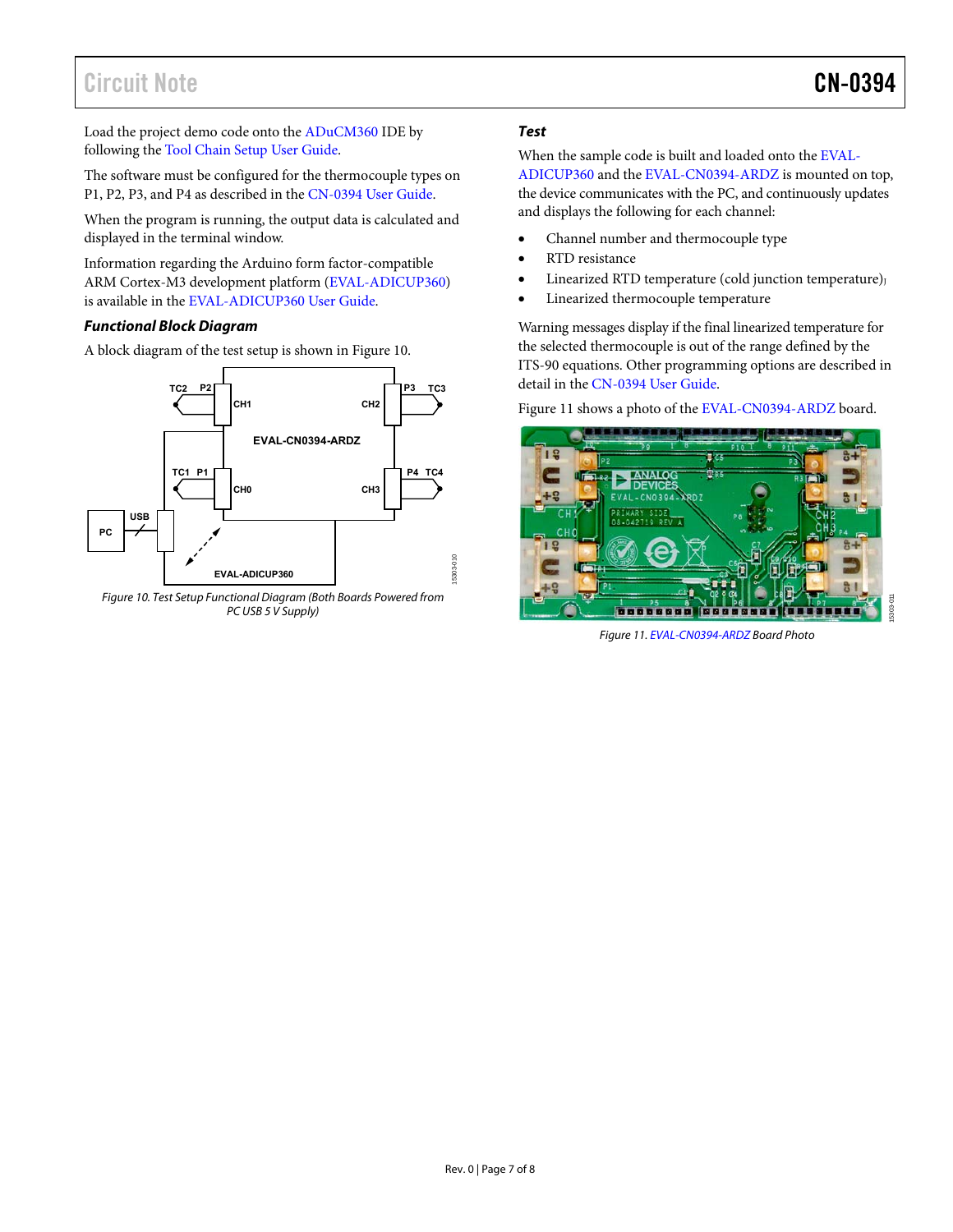# Circuit Note CN-0394

Load the project demo code onto the [ADuCM360](http://www.analog.com/ADuCM360?doc=CN0394.pdf) IDE by following the [Tool Chain Setup User Guide.](https://wiki.analog.com/resources/eval/user-guides/eval-adicup360/quickstart/eclipse_user_guide?doc=CN0394.pdf)

The software must be configured for the thermocouple types on P1, P2, P3, and P4 as described in the [CN-0394 User Guide.](http://www.analog.com/CN0394-UserGuide?doc=CN0394.pdf)

When the program is running, the output data is calculated and displayed in the terminal window.

Information regarding the Arduino form factor-compatible ARM Cortex-M3 development platform [\(EVAL-ADICUP360\)](http://www.analog.com/EVAL-ADICUP360?doc=CN0394.pdf) is available in th[e EVAL-ADICUP360 User Guide.](https://wiki.analog.com/resources/eval/user-guides/eval-adicup360/?doc=CN0394.pdf)

## **Functional Block Diagram**

A block diagram of the test setup is shown i[n Figure 10.](#page-6-0)



<span id="page-6-0"></span>Figure 10. Test Setup Functional Diagram (Both Boards Powered from PC USB 5 V Supply)

## **Test**

When the sample code is built and loaded onto th[e EVAL-](http://www.analog.com/EVAL-ADICUP360?doc=CN0394.pdf)[ADICUP360 a](http://www.analog.com/EVAL-ADICUP360?doc=CN0394.pdf)nd th[e EVAL-CN0394-ARDZ i](http://www.analog.com/EVAL-CN0394-ARDZ?doc=CN0394.pdf)s mounted on top, the device communicates with the PC, and continuously updates and displays the following for each channel:

- Channel number and thermocouple type
- RTD resistance
- Linearized RTD temperature (cold junction temperature)
- Linearized thermocouple temperature

Warning messages display if the final linearized temperature for the selected thermocouple is out of the range defined by the ITS-90 equations. Other programming options are described in detail in th[e CN-0394 User Guide.](http://www.analog.com/CN0394-UserGuide?doc=CN0394.pdf) 

[Figure 11 s](#page-6-1)hows a photo of the [EVAL-CN0394-ARDZ](http://www.analog.com/EVAL-CN0394-ARDZ?doc=CN0394.pdf) board.

<span id="page-6-1"></span>

Figure 11[. EVAL-CN0394-ARDZ B](http://www.analog.com/EVAL-CN0394-ARDZ?doc=CN0394.pdf)oard Photo